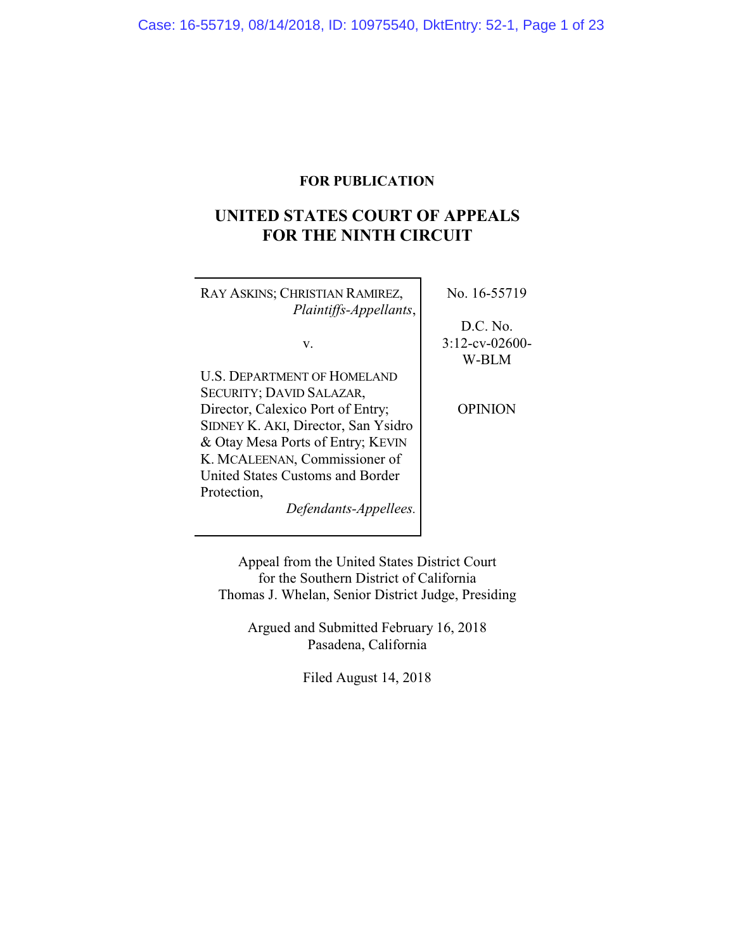# **FOR PUBLICATION**

# **UNITED STATES COURT OF APPEALS FOR THE NINTH CIRCUIT**

| RAY ASKINS; CHRISTIAN RAMIREZ,      | No. 16-55719      |
|-------------------------------------|-------------------|
| Plaintiffs-Appellants,              |                   |
|                                     | D.C. No.          |
| v.                                  | $3:12$ -cv-02600- |
|                                     | W-BLM             |
| <b>U.S. DEPARTMENT OF HOMELAND</b>  |                   |
| SECURITY; DAVID SALAZAR,            |                   |
| Director, Calexico Port of Entry;   | OPINION           |
| SIDNEY K. AKI, Director, San Ysidro |                   |
| & Otay Mesa Ports of Entry; KEVIN   |                   |
| K. MCALEENAN, Commissioner of       |                   |
| United States Customs and Border    |                   |
| Protection,                         |                   |
| Defendants-Appellees.               |                   |

Appeal from the United States District Court for the Southern District of California Thomas J. Whelan, Senior District Judge, Presiding

Argued and Submitted February 16, 2018 Pasadena, California

Filed August 14, 2018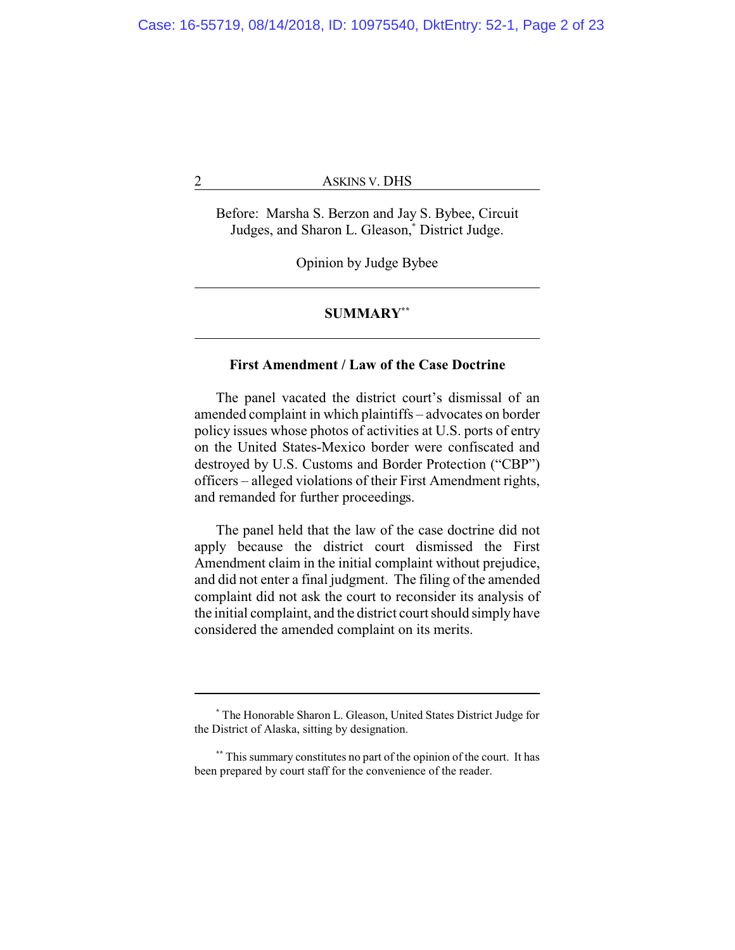Before: Marsha S. Berzon and Jay S. Bybee, Circuit Judges, and Sharon L. Gleason,**\*** District Judge.

Opinion by Judge Bybee

#### **SUMMARY\*\***

# **First Amendment / Law of the Case Doctrine**

The panel vacated the district court's dismissal of an amended complaint in which plaintiffs – advocates on border policy issues whose photos of activities at U.S. ports of entry on the United States-Mexico border were confiscated and destroyed by U.S. Customs and Border Protection ("CBP") officers – alleged violations of their First Amendment rights, and remanded for further proceedings.

The panel held that the law of the case doctrine did not apply because the district court dismissed the First Amendment claim in the initial complaint without prejudice, and did not enter a final judgment. The filing of the amended complaint did not ask the court to reconsider its analysis of the initial complaint, and the district court should simply have considered the amended complaint on its merits.

**<sup>\*</sup>** The Honorable Sharon L. Gleason, United States District Judge for the District of Alaska, sitting by designation.

**<sup>\*\*</sup>** This summary constitutes no part of the opinion of the court. It has been prepared by court staff for the convenience of the reader.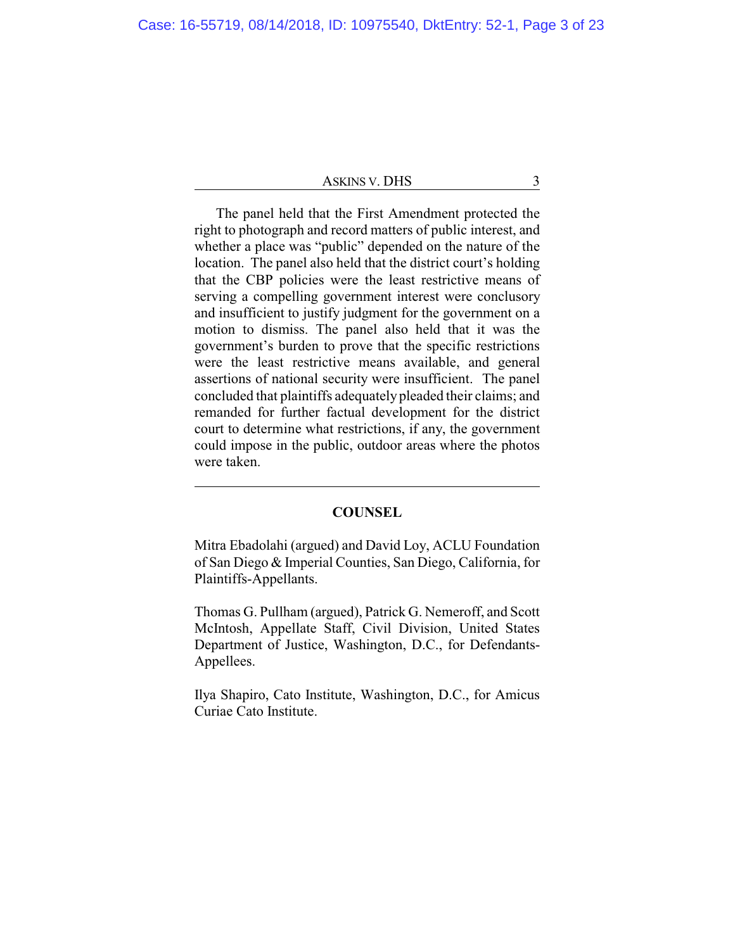The panel held that the First Amendment protected the right to photograph and record matters of public interest, and whether a place was "public" depended on the nature of the location. The panel also held that the district court's holding that the CBP policies were the least restrictive means of serving a compelling government interest were conclusory and insufficient to justify judgment for the government on a motion to dismiss. The panel also held that it was the government's burden to prove that the specific restrictions were the least restrictive means available, and general assertions of national security were insufficient. The panel concluded that plaintiffs adequately pleaded their claims; and remanded for further factual development for the district court to determine what restrictions, if any, the government could impose in the public, outdoor areas where the photos were taken.

#### **COUNSEL**

Mitra Ebadolahi (argued) and David Loy, ACLU Foundation of San Diego & Imperial Counties, San Diego, California, for Plaintiffs-Appellants.

Thomas G. Pullham (argued), Patrick G. Nemeroff, and Scott McIntosh, Appellate Staff, Civil Division, United States Department of Justice, Washington, D.C., for Defendants-Appellees.

Ilya Shapiro, Cato Institute, Washington, D.C., for Amicus Curiae Cato Institute.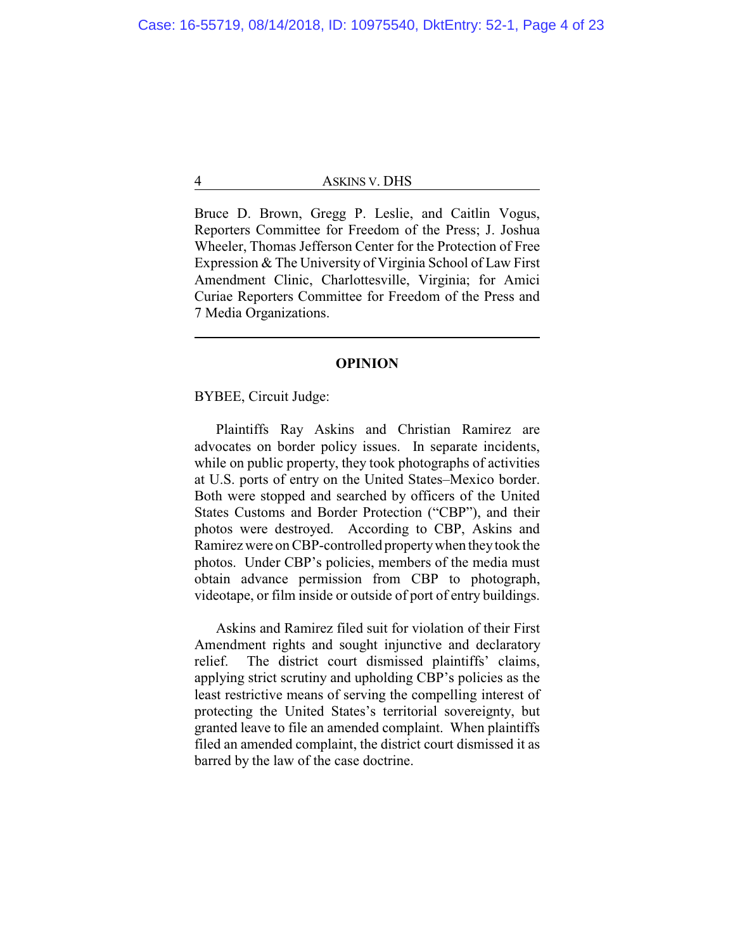Bruce D. Brown, Gregg P. Leslie, and Caitlin Vogus, Reporters Committee for Freedom of the Press; J. Joshua Wheeler, Thomas Jefferson Center for the Protection of Free Expression & The University of Virginia School of Law First Amendment Clinic, Charlottesville, Virginia; for Amici Curiae Reporters Committee for Freedom of the Press and 7 Media Organizations.

## **OPINION**

# BYBEE, Circuit Judge:

Plaintiffs Ray Askins and Christian Ramirez are advocates on border policy issues. In separate incidents, while on public property, they took photographs of activities at U.S. ports of entry on the United States–Mexico border. Both were stopped and searched by officers of the United States Customs and Border Protection ("CBP"), and their photos were destroyed. According to CBP, Askins and Ramirez were on CBP-controlled propertywhen theytook the photos. Under CBP's policies, members of the media must obtain advance permission from CBP to photograph, videotape, or film inside or outside of port of entry buildings.

Askins and Ramirez filed suit for violation of their First Amendment rights and sought injunctive and declaratory relief. The district court dismissed plaintiffs' claims, applying strict scrutiny and upholding CBP's policies as the least restrictive means of serving the compelling interest of protecting the United States's territorial sovereignty, but granted leave to file an amended complaint. When plaintiffs filed an amended complaint, the district court dismissed it as barred by the law of the case doctrine.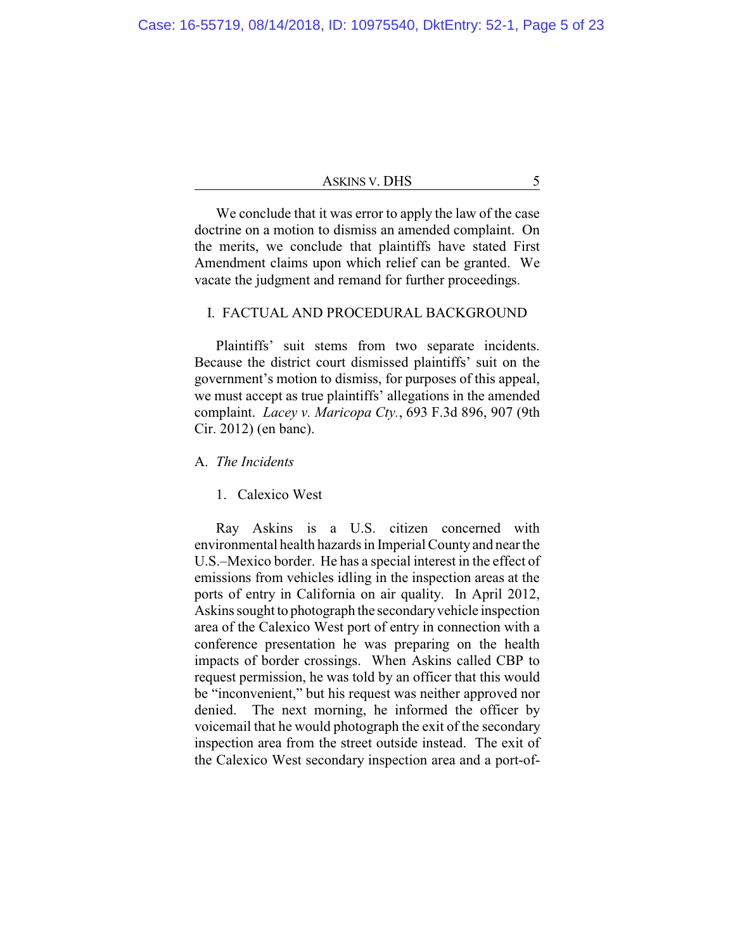| ASKINS V. DHS |  |  |
|---------------|--|--|
|---------------|--|--|

We conclude that it was error to apply the law of the case doctrine on a motion to dismiss an amended complaint. On the merits, we conclude that plaintiffs have stated First Amendment claims upon which relief can be granted. We vacate the judgment and remand for further proceedings.

# I. FACTUAL AND PROCEDURAL BACKGROUND

Plaintiffs' suit stems from two separate incidents. Because the district court dismissed plaintiffs' suit on the government's motion to dismiss, for purposes of this appeal, we must accept as true plaintiffs' allegations in the amended complaint. *Lacey v. Maricopa Cty.*, 693 F.3d 896, 907 (9th Cir. 2012) (en banc).

# A. *The Incidents*

# 1. Calexico West

Ray Askins is a U.S. citizen concerned with environmental health hazards in Imperial County and near the U.S.–Mexico border. He has a special interest in the effect of emissions from vehicles idling in the inspection areas at the ports of entry in California on air quality. In April 2012, Askins sought to photograph the secondaryvehicle inspection area of the Calexico West port of entry in connection with a conference presentation he was preparing on the health impacts of border crossings. When Askins called CBP to request permission, he was told by an officer that this would be "inconvenient," but his request was neither approved nor denied. The next morning, he informed the officer by voicemail that he would photograph the exit of the secondary inspection area from the street outside instead. The exit of the Calexico West secondary inspection area and a port-of-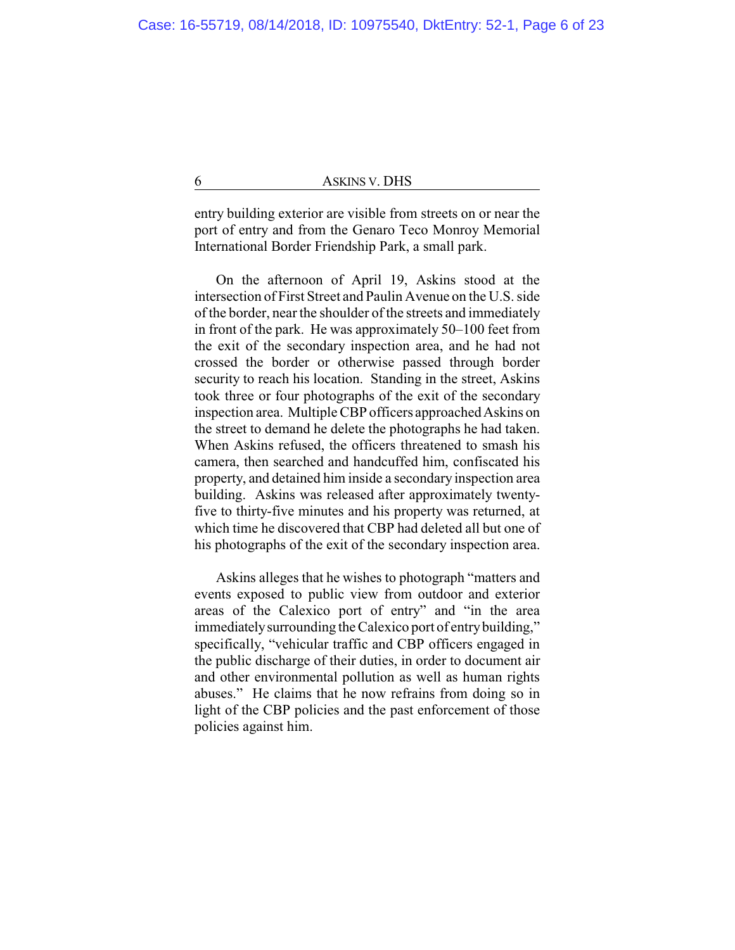entry building exterior are visible from streets on or near the port of entry and from the Genaro Teco Monroy Memorial International Border Friendship Park, a small park.

On the afternoon of April 19, Askins stood at the intersection of First Street and Paulin Avenue on the U.S. side of the border, near the shoulder of the streets and immediately in front of the park. He was approximately 50–100 feet from the exit of the secondary inspection area, and he had not crossed the border or otherwise passed through border security to reach his location. Standing in the street, Askins took three or four photographs of the exit of the secondary inspection area. Multiple CBP officers approached Askins on the street to demand he delete the photographs he had taken. When Askins refused, the officers threatened to smash his camera, then searched and handcuffed him, confiscated his property, and detained him inside a secondary inspection area building. Askins was released after approximately twentyfive to thirty-five minutes and his property was returned, at which time he discovered that CBP had deleted all but one of his photographs of the exit of the secondary inspection area.

Askins alleges that he wishes to photograph "matters and events exposed to public view from outdoor and exterior areas of the Calexico port of entry" and "in the area immediately surrounding the Calexico port of entry building," specifically, "vehicular traffic and CBP officers engaged in the public discharge of their duties, in order to document air and other environmental pollution as well as human rights abuses." He claims that he now refrains from doing so in light of the CBP policies and the past enforcement of those policies against him.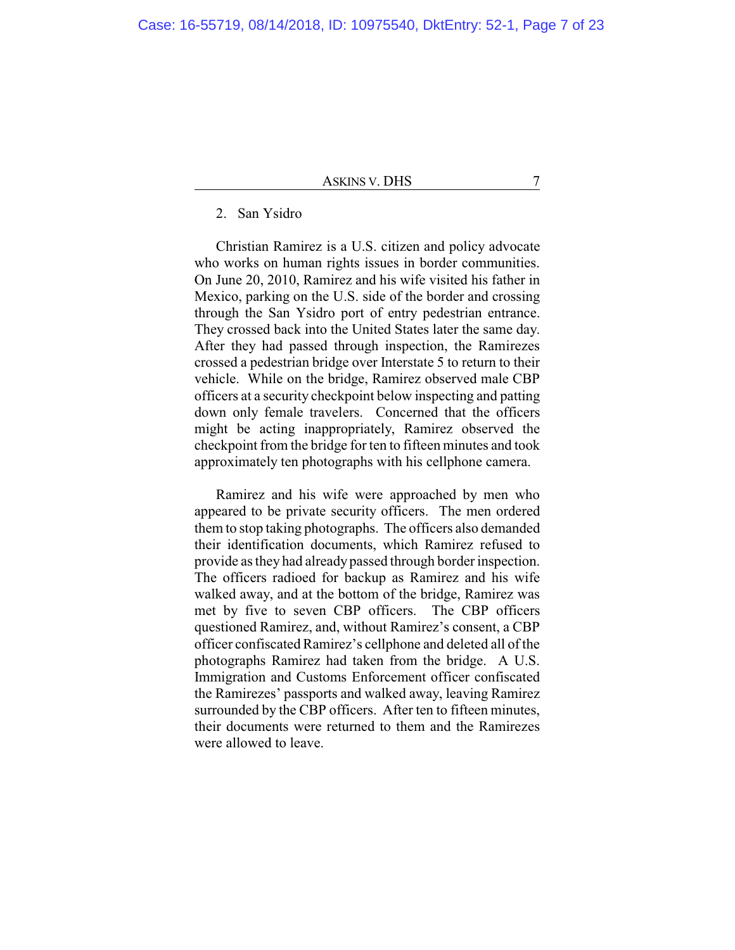# 2. San Ysidro

Christian Ramirez is a U.S. citizen and policy advocate who works on human rights issues in border communities. On June 20, 2010, Ramirez and his wife visited his father in Mexico, parking on the U.S. side of the border and crossing through the San Ysidro port of entry pedestrian entrance. They crossed back into the United States later the same day. After they had passed through inspection, the Ramirezes crossed a pedestrian bridge over Interstate 5 to return to their vehicle. While on the bridge, Ramirez observed male CBP officers at a security checkpoint below inspecting and patting down only female travelers. Concerned that the officers might be acting inappropriately, Ramirez observed the checkpoint from the bridge for ten to fifteen minutes and took approximately ten photographs with his cellphone camera.

Ramirez and his wife were approached by men who appeared to be private security officers. The men ordered them to stop taking photographs. The officers also demanded their identification documents, which Ramirez refused to provide as they had already passed through border inspection. The officers radioed for backup as Ramirez and his wife walked away, and at the bottom of the bridge, Ramirez was met by five to seven CBP officers. The CBP officers questioned Ramirez, and, without Ramirez's consent, a CBP officer confiscated Ramirez's cellphone and deleted all of the photographs Ramirez had taken from the bridge. A U.S. Immigration and Customs Enforcement officer confiscated the Ramirezes' passports and walked away, leaving Ramirez surrounded by the CBP officers. After ten to fifteen minutes, their documents were returned to them and the Ramirezes were allowed to leave.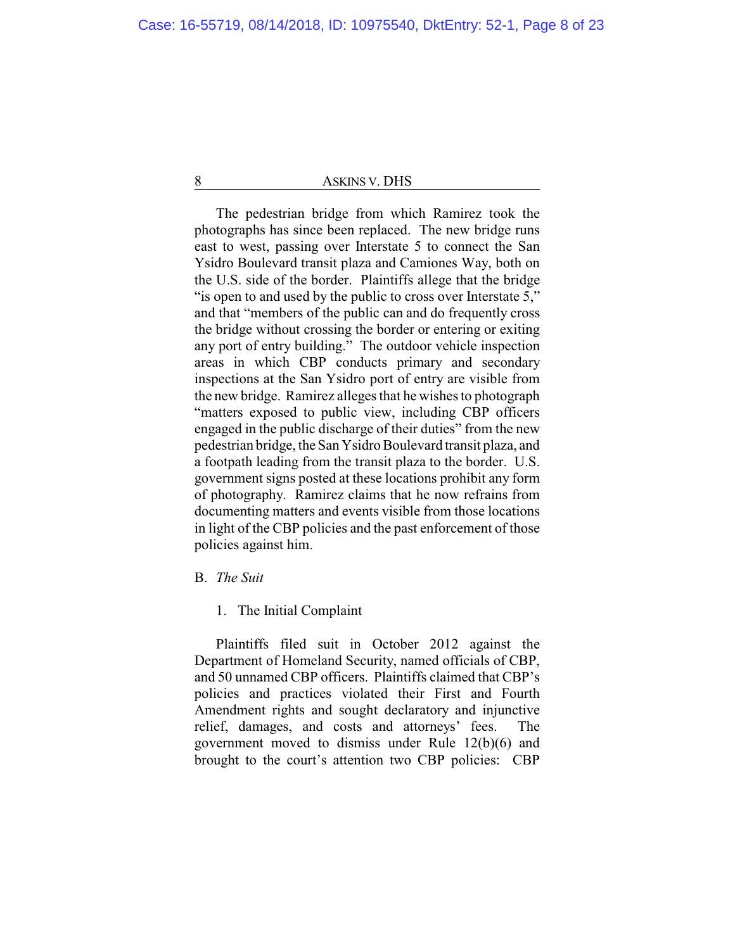The pedestrian bridge from which Ramirez took the photographs has since been replaced. The new bridge runs east to west, passing over Interstate 5 to connect the San Ysidro Boulevard transit plaza and Camiones Way, both on the U.S. side of the border. Plaintiffs allege that the bridge "is open to and used by the public to cross over Interstate 5," and that "members of the public can and do frequently cross the bridge without crossing the border or entering or exiting any port of entry building." The outdoor vehicle inspection areas in which CBP conducts primary and secondary inspections at the San Ysidro port of entry are visible from the new bridge. Ramirez alleges that he wishes to photograph "matters exposed to public view, including CBP officers engaged in the public discharge of their duties" from the new pedestrian bridge, the San Ysidro Boulevard transit plaza, and a footpath leading from the transit plaza to the border. U.S. government signs posted at these locations prohibit any form of photography. Ramirez claims that he now refrains from documenting matters and events visible from those locations in light of the CBP policies and the past enforcement of those policies against him.

# B. *The Suit*

#### 1. The Initial Complaint

Plaintiffs filed suit in October 2012 against the Department of Homeland Security, named officials of CBP, and 50 unnamed CBP officers. Plaintiffs claimed that CBP's policies and practices violated their First and Fourth Amendment rights and sought declaratory and injunctive relief, damages, and costs and attorneys' fees. The government moved to dismiss under Rule 12(b)(6) and brought to the court's attention two CBP policies: CBP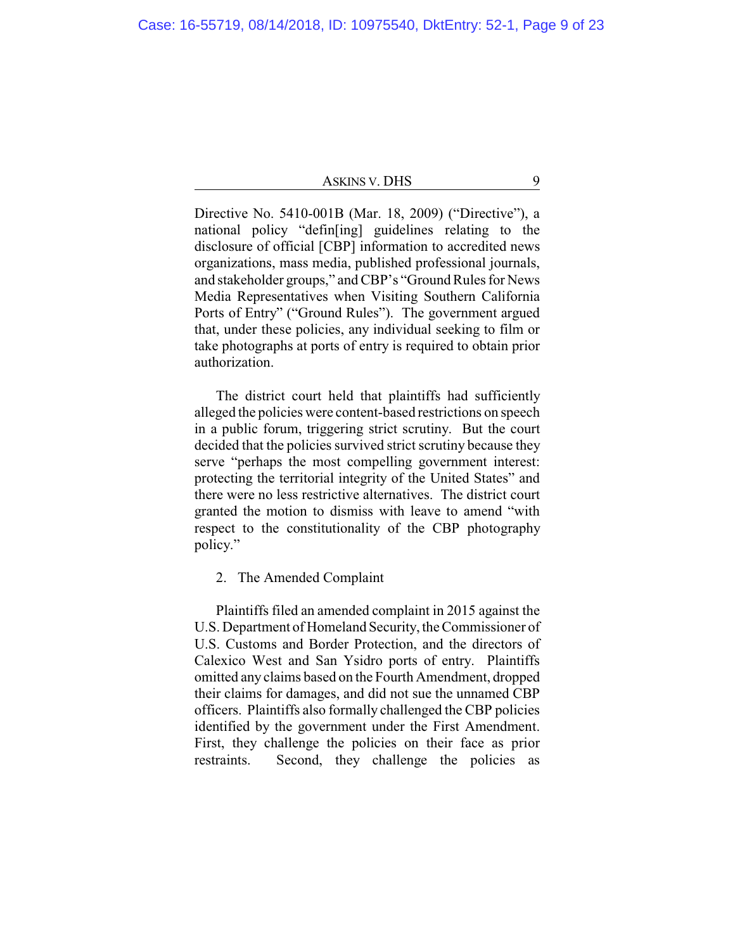| ASKINS V. DHS |  |
|---------------|--|
|---------------|--|

Directive No. 5410-001B (Mar. 18, 2009) ("Directive"), a national policy "defin[ing] guidelines relating to the disclosure of official [CBP] information to accredited news organizations, mass media, published professional journals, and stakeholder groups," and CBP's "Ground Rules for News Media Representatives when Visiting Southern California Ports of Entry" ("Ground Rules"). The government argued that, under these policies, any individual seeking to film or take photographs at ports of entry is required to obtain prior authorization.

The district court held that plaintiffs had sufficiently alleged the policies were content-based restrictions on speech in a public forum, triggering strict scrutiny. But the court decided that the policies survived strict scrutiny because they serve "perhaps the most compelling government interest: protecting the territorial integrity of the United States" and there were no less restrictive alternatives. The district court granted the motion to dismiss with leave to amend "with respect to the constitutionality of the CBP photography policy."

2. The Amended Complaint

Plaintiffs filed an amended complaint in 2015 against the U.S. Department of Homeland Security, the Commissioner of U.S. Customs and Border Protection, and the directors of Calexico West and San Ysidro ports of entry. Plaintiffs omitted any claims based on the Fourth Amendment, dropped their claims for damages, and did not sue the unnamed CBP officers. Plaintiffs also formally challenged the CBP policies identified by the government under the First Amendment. First, they challenge the policies on their face as prior restraints. Second, they challenge the policies as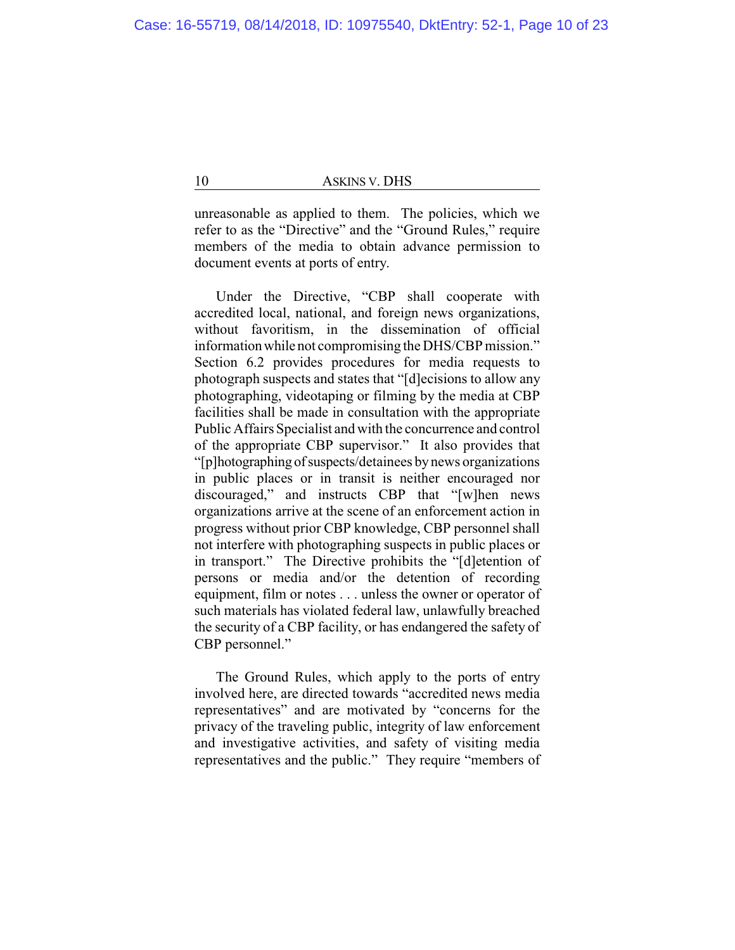unreasonable as applied to them. The policies, which we refer to as the "Directive" and the "Ground Rules," require members of the media to obtain advance permission to document events at ports of entry.

Under the Directive, "CBP shall cooperate with accredited local, national, and foreign news organizations, without favoritism, in the dissemination of official informationwhile not compromising the DHS/CBP mission." Section 6.2 provides procedures for media requests to photograph suspects and states that "[d]ecisions to allow any photographing, videotaping or filming by the media at CBP facilities shall be made in consultation with the appropriate Public Affairs Specialist and with the concurrence and control of the appropriate CBP supervisor." It also provides that "[p]hotographing ofsuspects/detainees bynews organizations in public places or in transit is neither encouraged nor discouraged," and instructs CBP that "[w]hen news organizations arrive at the scene of an enforcement action in progress without prior CBP knowledge, CBP personnel shall not interfere with photographing suspects in public places or in transport." The Directive prohibits the "[d]etention of persons or media and/or the detention of recording equipment, film or notes . . . unless the owner or operator of such materials has violated federal law, unlawfully breached the security of a CBP facility, or has endangered the safety of CBP personnel."

The Ground Rules, which apply to the ports of entry involved here, are directed towards "accredited news media representatives" and are motivated by "concerns for the privacy of the traveling public, integrity of law enforcement and investigative activities, and safety of visiting media representatives and the public." They require "members of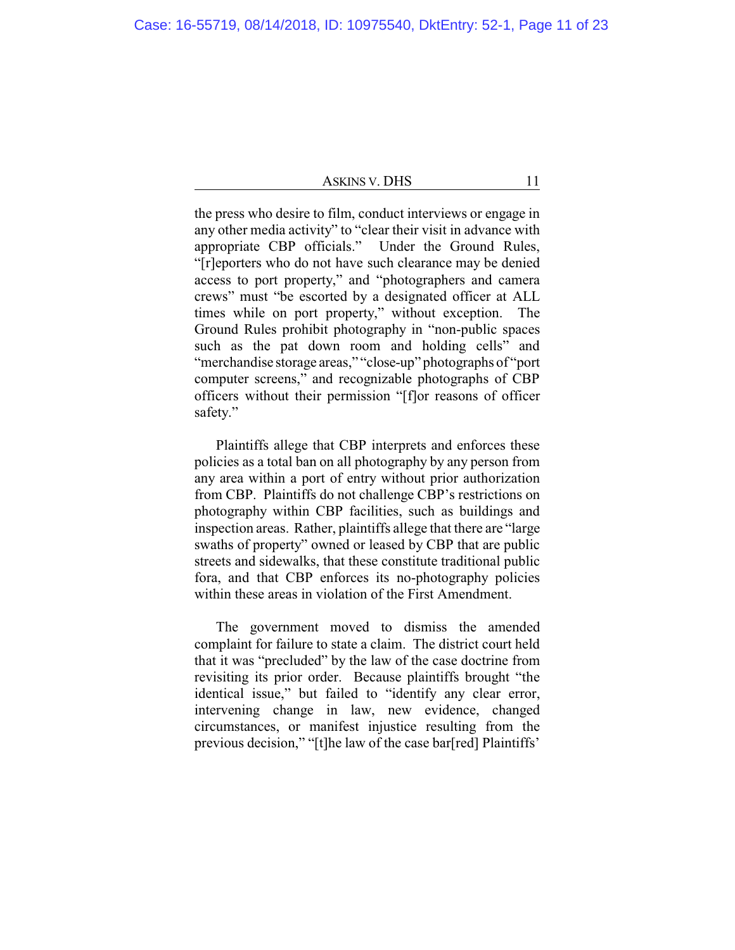the press who desire to film, conduct interviews or engage in any other media activity" to "clear their visit in advance with appropriate CBP officials." Under the Ground Rules, "[r]eporters who do not have such clearance may be denied access to port property," and "photographers and camera crews" must "be escorted by a designated officer at ALL times while on port property," without exception. The Ground Rules prohibit photography in "non-public spaces such as the pat down room and holding cells" and "merchandise storage areas," "close-up" photographs of "port computer screens," and recognizable photographs of CBP officers without their permission "[f]or reasons of officer safety."

Plaintiffs allege that CBP interprets and enforces these policies as a total ban on all photography by any person from any area within a port of entry without prior authorization from CBP. Plaintiffs do not challenge CBP's restrictions on photography within CBP facilities, such as buildings and inspection areas. Rather, plaintiffs allege that there are "large swaths of property" owned or leased by CBP that are public streets and sidewalks, that these constitute traditional public fora, and that CBP enforces its no-photography policies within these areas in violation of the First Amendment.

The government moved to dismiss the amended complaint for failure to state a claim. The district court held that it was "precluded" by the law of the case doctrine from revisiting its prior order. Because plaintiffs brought "the identical issue," but failed to "identify any clear error, intervening change in law, new evidence, changed circumstances, or manifest injustice resulting from the previous decision," "[t]he law of the case bar[red] Plaintiffs'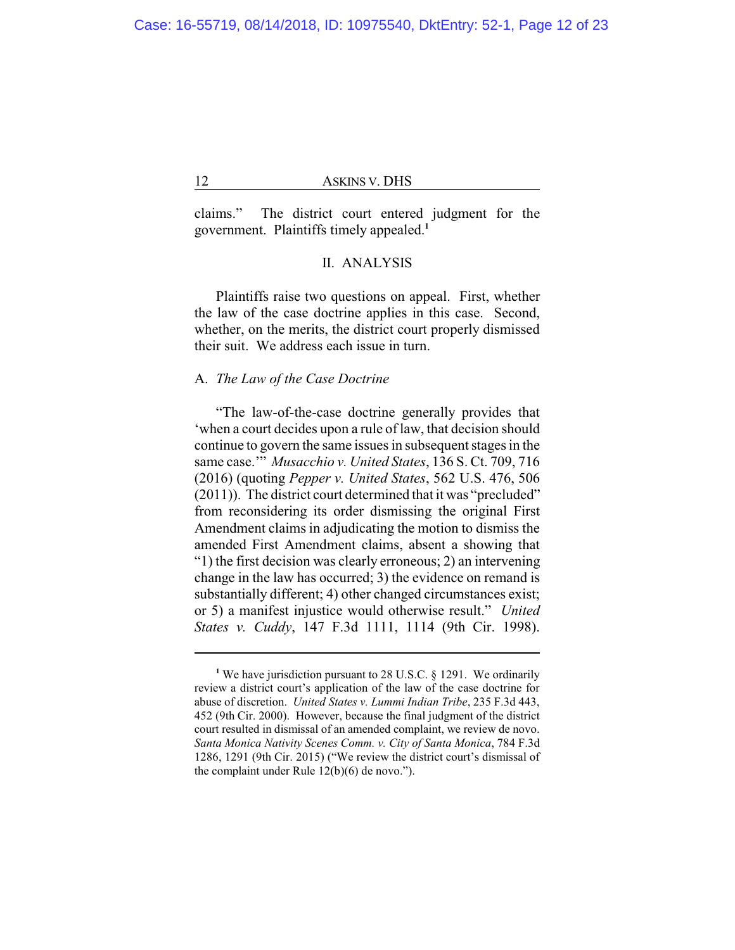claims." The district court entered judgment for the government. Plaintiffs timely appealed.**<sup>1</sup>**

# II. ANALYSIS

Plaintiffs raise two questions on appeal. First, whether the law of the case doctrine applies in this case. Second, whether, on the merits, the district court properly dismissed their suit. We address each issue in turn.

#### A. *The Law of the Case Doctrine*

"The law-of-the-case doctrine generally provides that 'when a court decides upon a rule of law, that decision should continue to govern the same issues in subsequent stages in the same case.'" *Musacchio v. United States*, 136 S. Ct. 709, 716 (2016) (quoting *Pepper v. United States*, 562 U.S. 476, 506 (2011)). The district court determined that it was "precluded" from reconsidering its order dismissing the original First Amendment claims in adjudicating the motion to dismiss the amended First Amendment claims, absent a showing that "1) the first decision was clearly erroneous; 2) an intervening change in the law has occurred; 3) the evidence on remand is substantially different; 4) other changed circumstances exist; or 5) a manifest injustice would otherwise result." *United States v. Cuddy*, 147 F.3d 1111, 1114 (9th Cir. 1998).

**<sup>1</sup>** We have jurisdiction pursuant to 28 U.S.C. § 1291. We ordinarily review a district court's application of the law of the case doctrine for abuse of discretion. *United States v. Lummi Indian Tribe*, 235 F.3d 443, 452 (9th Cir. 2000). However, because the final judgment of the district court resulted in dismissal of an amended complaint, we review de novo. *Santa Monica Nativity Scenes Comm. v. City of Santa Monica*, 784 F.3d 1286, 1291 (9th Cir. 2015) ("We review the district court's dismissal of the complaint under Rule 12(b)(6) de novo.").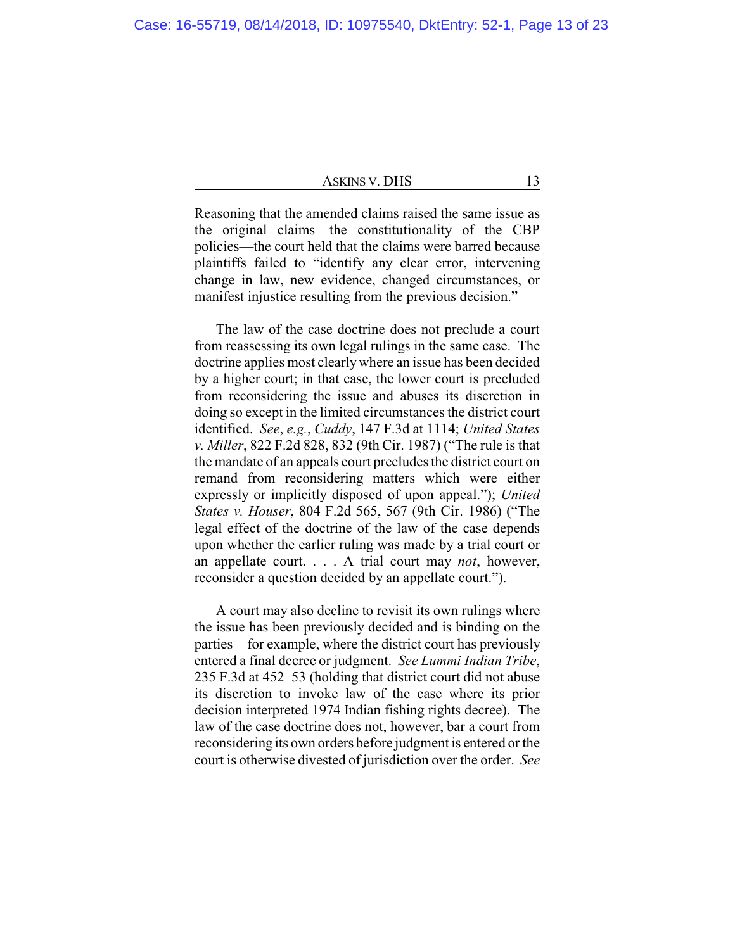| ASKINS V. DHS |  |
|---------------|--|
|---------------|--|

Reasoning that the amended claims raised the same issue as the original claims—the constitutionality of the CBP policies—the court held that the claims were barred because plaintiffs failed to "identify any clear error, intervening change in law, new evidence, changed circumstances, or manifest injustice resulting from the previous decision."

The law of the case doctrine does not preclude a court from reassessing its own legal rulings in the same case. The doctrine applies most clearlywhere an issue has been decided by a higher court; in that case, the lower court is precluded from reconsidering the issue and abuses its discretion in doing so except in the limited circumstances the district court identified. *See*, *e.g.*, *Cuddy*, 147 F.3d at 1114; *United States v. Miller*, 822 F.2d 828, 832 (9th Cir. 1987) ("The rule is that the mandate of an appeals court precludes the district court on remand from reconsidering matters which were either expressly or implicitly disposed of upon appeal."); *United States v. Houser*, 804 F.2d 565, 567 (9th Cir. 1986) ("The legal effect of the doctrine of the law of the case depends upon whether the earlier ruling was made by a trial court or an appellate court. . . . A trial court may *not*, however, reconsider a question decided by an appellate court.").

A court may also decline to revisit its own rulings where the issue has been previously decided and is binding on the parties—for example, where the district court has previously entered a final decree or judgment. *See Lummi Indian Tribe*, 235 F.3d at 452–53 (holding that district court did not abuse its discretion to invoke law of the case where its prior decision interpreted 1974 Indian fishing rights decree). The law of the case doctrine does not, however, bar a court from reconsidering its own orders before judgment is entered or the court is otherwise divested of jurisdiction over the order. *See*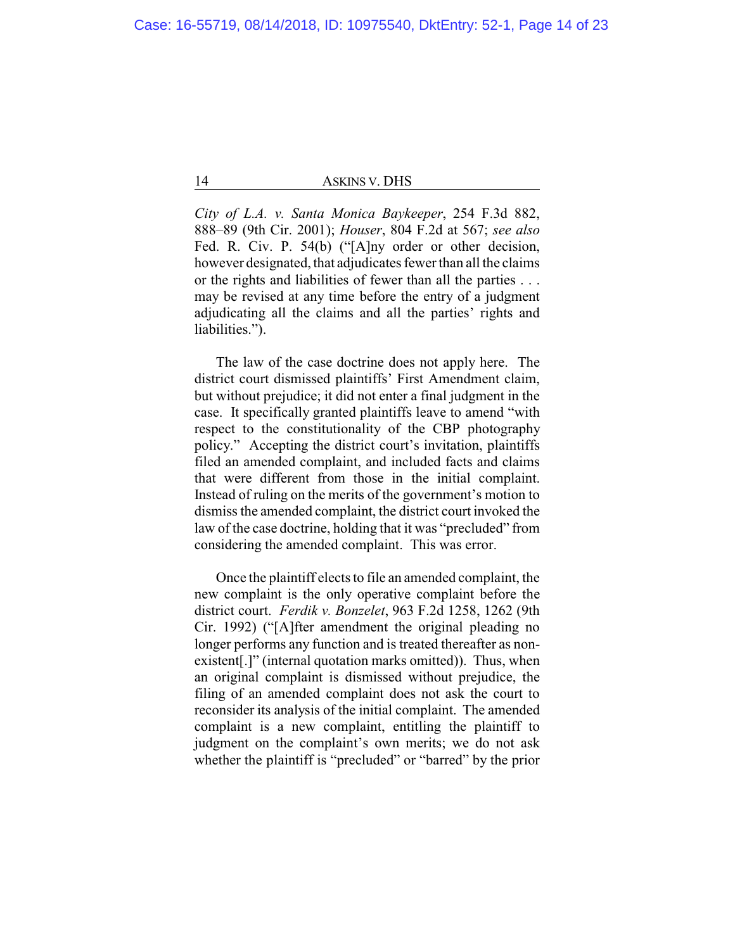*City of L.A. v. Santa Monica Baykeeper*, 254 F.3d 882, 888–89 (9th Cir. 2001); *Houser*, 804 F.2d at 567; *see also* Fed. R. Civ. P. 54(b) ("[A]ny order or other decision, however designated, that adjudicates fewer than all the claims or the rights and liabilities of fewer than all the parties . . . may be revised at any time before the entry of a judgment adjudicating all the claims and all the parties' rights and liabilities.").

The law of the case doctrine does not apply here. The district court dismissed plaintiffs' First Amendment claim, but without prejudice; it did not enter a final judgment in the case. It specifically granted plaintiffs leave to amend "with respect to the constitutionality of the CBP photography policy." Accepting the district court's invitation, plaintiffs filed an amended complaint, and included facts and claims that were different from those in the initial complaint. Instead of ruling on the merits of the government's motion to dismiss the amended complaint, the district court invoked the law of the case doctrine, holding that it was "precluded" from considering the amended complaint. This was error.

Once the plaintiff elects to file an amended complaint, the new complaint is the only operative complaint before the district court. *Ferdik v. Bonzelet*, 963 F.2d 1258, 1262 (9th Cir. 1992) ("[A]fter amendment the original pleading no longer performs any function and is treated thereafter as nonexistent[.]" (internal quotation marks omitted)). Thus, when an original complaint is dismissed without prejudice, the filing of an amended complaint does not ask the court to reconsider its analysis of the initial complaint. The amended complaint is a new complaint, entitling the plaintiff to judgment on the complaint's own merits; we do not ask whether the plaintiff is "precluded" or "barred" by the prior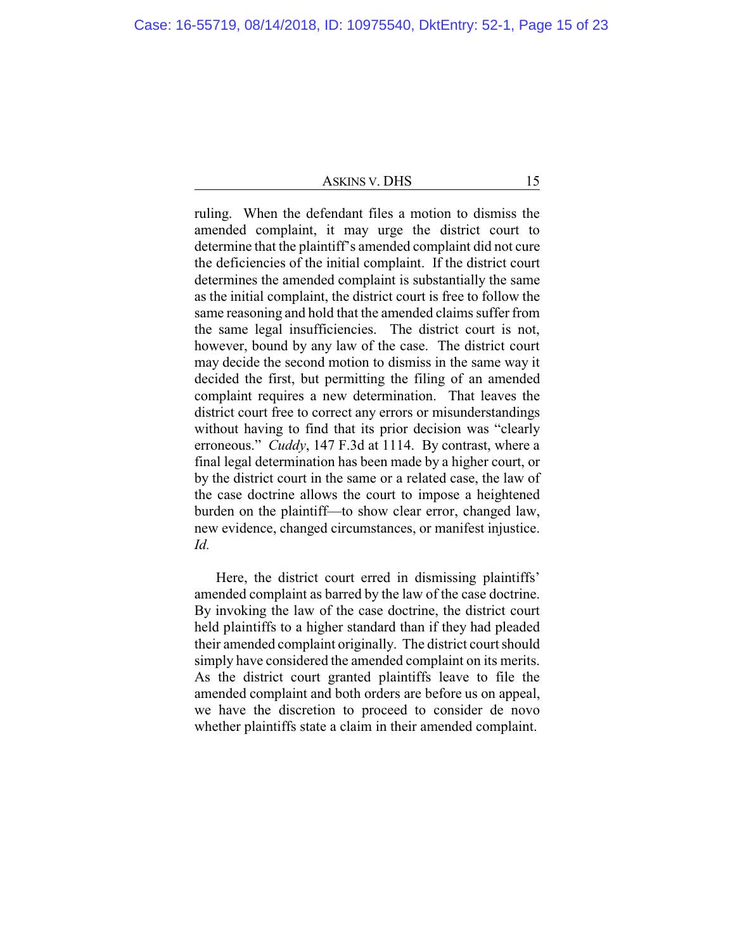ruling. When the defendant files a motion to dismiss the amended complaint, it may urge the district court to determine that the plaintiff's amended complaint did not cure the deficiencies of the initial complaint. If the district court determines the amended complaint is substantially the same as the initial complaint, the district court is free to follow the same reasoning and hold that the amended claims suffer from the same legal insufficiencies. The district court is not, however, bound by any law of the case. The district court may decide the second motion to dismiss in the same way it decided the first, but permitting the filing of an amended complaint requires a new determination. That leaves the district court free to correct any errors or misunderstandings without having to find that its prior decision was "clearly erroneous." *Cuddy*, 147 F.3d at 1114. By contrast, where a final legal determination has been made by a higher court, or by the district court in the same or a related case, the law of the case doctrine allows the court to impose a heightened burden on the plaintiff—to show clear error, changed law, new evidence, changed circumstances, or manifest injustice. *Id.*

Here, the district court erred in dismissing plaintiffs' amended complaint as barred by the law of the case doctrine. By invoking the law of the case doctrine, the district court held plaintiffs to a higher standard than if they had pleaded their amended complaint originally. The district court should simply have considered the amended complaint on its merits. As the district court granted plaintiffs leave to file the amended complaint and both orders are before us on appeal, we have the discretion to proceed to consider de novo whether plaintiffs state a claim in their amended complaint.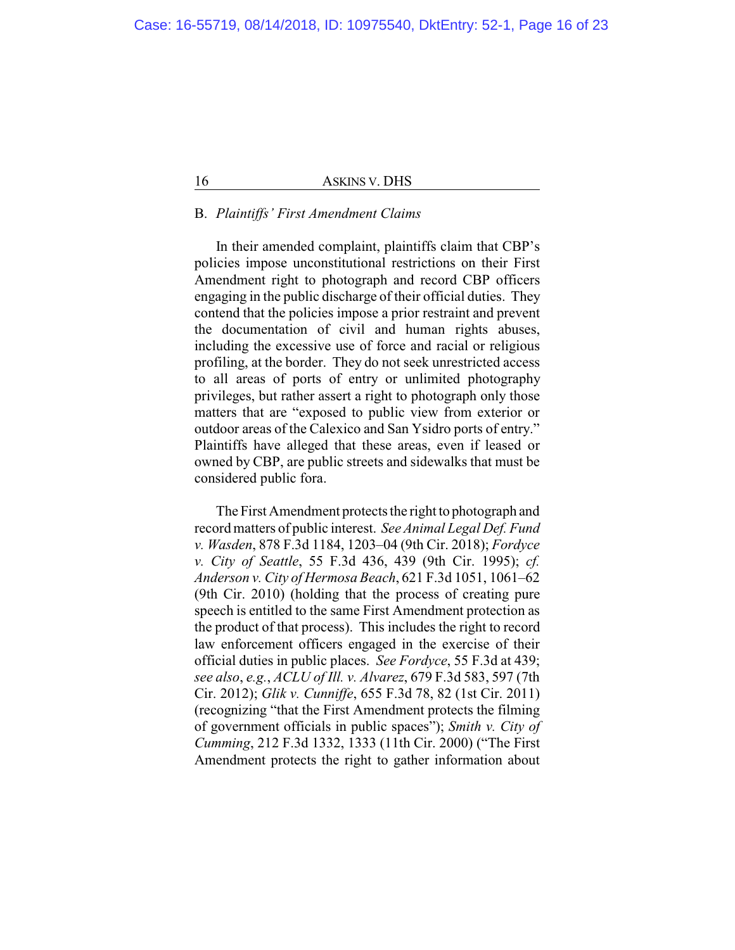# B. *Plaintiffs' First Amendment Claims*

In their amended complaint, plaintiffs claim that CBP's policies impose unconstitutional restrictions on their First Amendment right to photograph and record CBP officers engaging in the public discharge of their official duties. They contend that the policies impose a prior restraint and prevent the documentation of civil and human rights abuses, including the excessive use of force and racial or religious profiling, at the border. They do not seek unrestricted access to all areas of ports of entry or unlimited photography privileges, but rather assert a right to photograph only those matters that are "exposed to public view from exterior or outdoor areas of the Calexico and San Ysidro ports of entry." Plaintiffs have alleged that these areas, even if leased or owned by CBP, are public streets and sidewalks that must be considered public fora.

The First Amendment protects the right to photograph and record matters of public interest. *See Animal Legal Def. Fund v. Wasden*, 878 F.3d 1184, 1203–04 (9th Cir. 2018); *Fordyce v. City of Seattle*, 55 F.3d 436, 439 (9th Cir. 1995); *cf. Anderson v. City of Hermosa Beach*, 621 F.3d 1051, 1061–62 (9th Cir. 2010) (holding that the process of creating pure speech is entitled to the same First Amendment protection as the product of that process). This includes the right to record law enforcement officers engaged in the exercise of their official duties in public places. *See Fordyce*, 55 F.3d at 439; *see also*, *e.g.*, *ACLU of Ill. v. Alvarez*, 679 F.3d 583, 597 (7th Cir. 2012); *Glik v. Cunniffe*, 655 F.3d 78, 82 (1st Cir. 2011) (recognizing "that the First Amendment protects the filming of government officials in public spaces"); *Smith v. City of Cumming*, 212 F.3d 1332, 1333 (11th Cir. 2000) ("The First Amendment protects the right to gather information about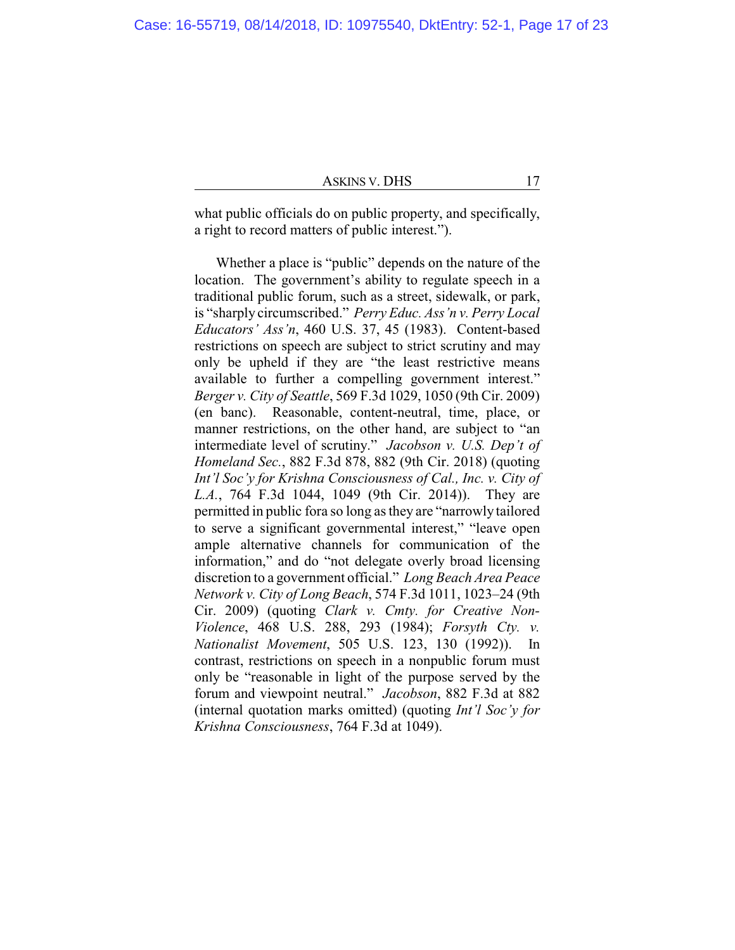| ASKINS V. DHS |  |  |
|---------------|--|--|
|---------------|--|--|

what public officials do on public property, and specifically, a right to record matters of public interest.").

Whether a place is "public" depends on the nature of the location. The government's ability to regulate speech in a traditional public forum, such as a street, sidewalk, or park, is "sharply circumscribed." *Perry Educ. Ass'n v. Perry Local Educators' Ass'n*, 460 U.S. 37, 45 (1983). Content-based restrictions on speech are subject to strict scrutiny and may only be upheld if they are "the least restrictive means available to further a compelling government interest." *Berger v. City of Seattle*, 569 F.3d 1029, 1050 (9th Cir. 2009) (en banc). Reasonable, content-neutral, time, place, or manner restrictions, on the other hand, are subject to "an intermediate level of scrutiny." *Jacobson v. U.S. Dep't of Homeland Sec.*, 882 F.3d 878, 882 (9th Cir. 2018) (quoting *Int'l Soc'y for Krishna Consciousness of Cal., Inc. v. City of L.A.*, 764 F.3d 1044, 1049 (9th Cir. 2014)). They are permitted in public fora so long as they are "narrowly tailored to serve a significant governmental interest," "leave open ample alternative channels for communication of the information," and do "not delegate overly broad licensing discretion to a government official." *Long Beach Area Peace Network v. City of Long Beach*, 574 F.3d 1011, 1023–24 (9th Cir. 2009) (quoting *Clark v. Cmty. for Creative Non-Violence*, 468 U.S. 288, 293 (1984); *Forsyth Cty. v. Nationalist Movement*, 505 U.S. 123, 130 (1992)). In contrast, restrictions on speech in a nonpublic forum must only be "reasonable in light of the purpose served by the forum and viewpoint neutral." *Jacobson*, 882 F.3d at 882 (internal quotation marks omitted) (quoting *Int'l Soc'y for Krishna Consciousness*, 764 F.3d at 1049).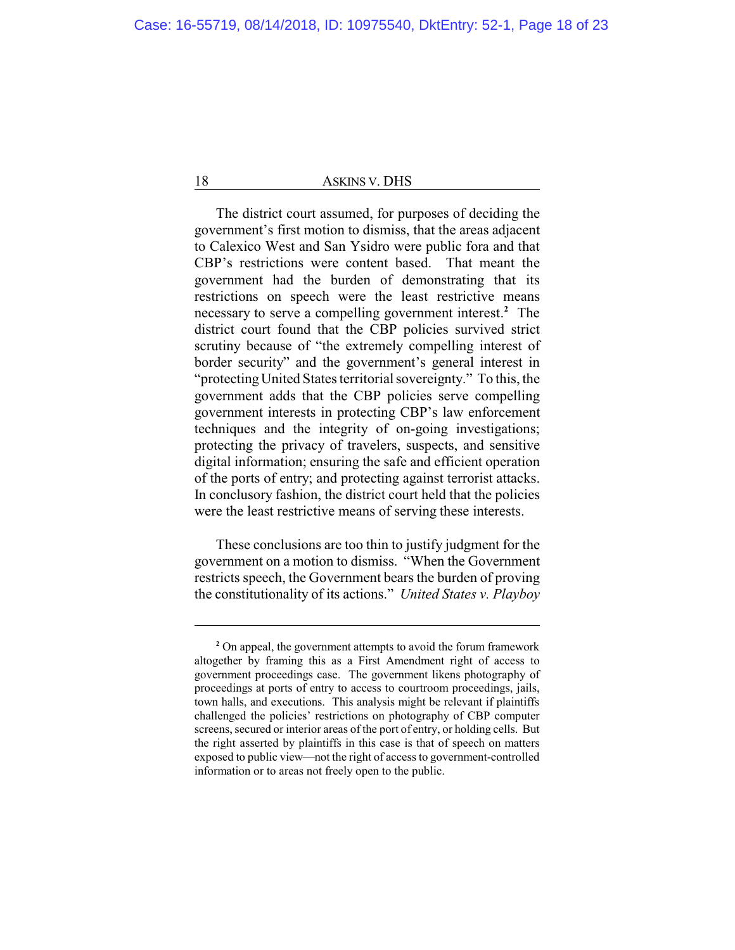The district court assumed, for purposes of deciding the government's first motion to dismiss, that the areas adjacent to Calexico West and San Ysidro were public fora and that CBP's restrictions were content based. That meant the government had the burden of demonstrating that its restrictions on speech were the least restrictive means necessary to serve a compelling government interest. **<sup>2</sup>** The district court found that the CBP policies survived strict scrutiny because of "the extremely compelling interest of border security" and the government's general interest in "protectingUnited States territorial sovereignty." To this, the government adds that the CBP policies serve compelling government interests in protecting CBP's law enforcement techniques and the integrity of on-going investigations; protecting the privacy of travelers, suspects, and sensitive digital information; ensuring the safe and efficient operation of the ports of entry; and protecting against terrorist attacks. In conclusory fashion, the district court held that the policies were the least restrictive means of serving these interests.

These conclusions are too thin to justify judgment for the government on a motion to dismiss. "When the Government restricts speech, the Government bears the burden of proving the constitutionality of its actions." *United States v. Playboy*

**<sup>2</sup>** On appeal, the government attempts to avoid the forum framework altogether by framing this as a First Amendment right of access to government proceedings case. The government likens photography of proceedings at ports of entry to access to courtroom proceedings, jails, town halls, and executions. This analysis might be relevant if plaintiffs challenged the policies' restrictions on photography of CBP computer screens, secured or interior areas of the port of entry, or holding cells. But the right asserted by plaintiffs in this case is that of speech on matters exposed to public view—not the right of access to government-controlled information or to areas not freely open to the public.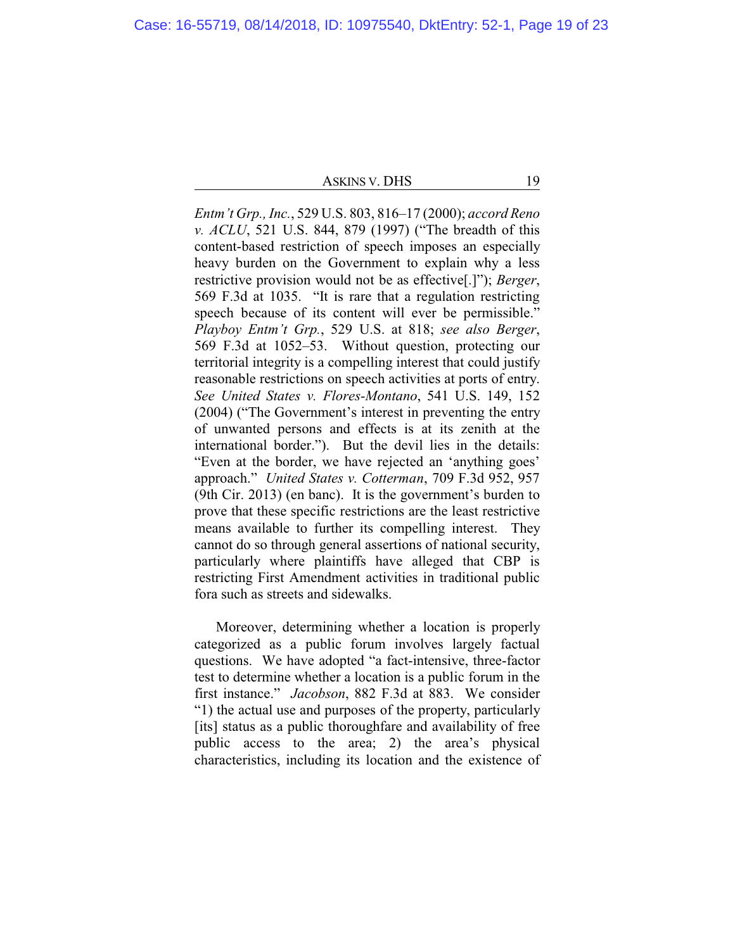*Entm't Grp., Inc.*, 529 U.S. 803, 816–17 (2000); *accord Reno v. ACLU*, 521 U.S. 844, 879 (1997) ("The breadth of this content-based restriction of speech imposes an especially heavy burden on the Government to explain why a less restrictive provision would not be as effective[.]"); *Berger*, 569 F.3d at 1035. "It is rare that a regulation restricting speech because of its content will ever be permissible." *Playboy Entm't Grp.*, 529 U.S. at 818; *see also Berger*, 569 F.3d at 1052–53. Without question, protecting our territorial integrity is a compelling interest that could justify reasonable restrictions on speech activities at ports of entry. *See United States v. Flores-Montano*, 541 U.S. 149, 152 (2004) ("The Government's interest in preventing the entry of unwanted persons and effects is at its zenith at the international border."). But the devil lies in the details: "Even at the border, we have rejected an 'anything goes' approach." *United States v. Cotterman*, 709 F.3d 952, 957 (9th Cir. 2013) (en banc). It is the government's burden to prove that these specific restrictions are the least restrictive means available to further its compelling interest. They cannot do so through general assertions of national security, particularly where plaintiffs have alleged that CBP is restricting First Amendment activities in traditional public fora such as streets and sidewalks.

Moreover, determining whether a location is properly categorized as a public forum involves largely factual questions. We have adopted "a fact-intensive, three-factor test to determine whether a location is a public forum in the first instance." *Jacobson*, 882 F.3d at 883. We consider "1) the actual use and purposes of the property, particularly [its] status as a public thoroughfare and availability of free public access to the area; 2) the area's physical characteristics, including its location and the existence of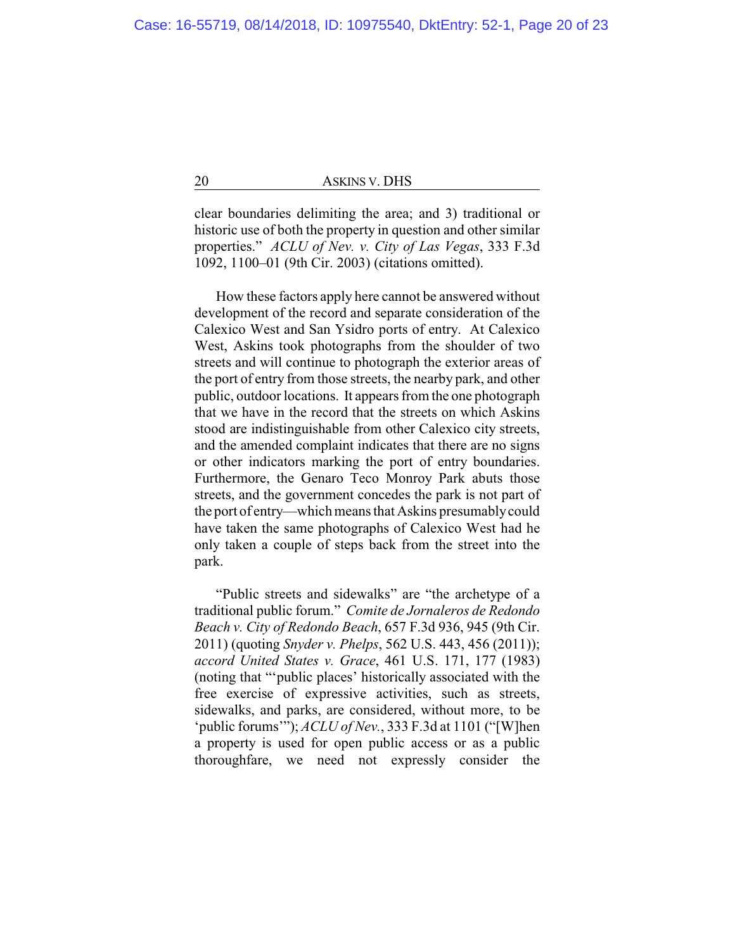clear boundaries delimiting the area; and 3) traditional or historic use of both the property in question and other similar properties." *ACLU of Nev. v. City of Las Vegas*, 333 F.3d 1092, 1100–01 (9th Cir. 2003) (citations omitted).

How these factors apply here cannot be answered without development of the record and separate consideration of the Calexico West and San Ysidro ports of entry. At Calexico West, Askins took photographs from the shoulder of two streets and will continue to photograph the exterior areas of the port of entry from those streets, the nearby park, and other public, outdoor locations. It appears from the one photograph that we have in the record that the streets on which Askins stood are indistinguishable from other Calexico city streets, and the amended complaint indicates that there are no signs or other indicators marking the port of entry boundaries. Furthermore, the Genaro Teco Monroy Park abuts those streets, and the government concedes the park is not part of the port of entry—which means that Askins presumablycould have taken the same photographs of Calexico West had he only taken a couple of steps back from the street into the park.

"Public streets and sidewalks" are "the archetype of a traditional public forum." *Comite de Jornaleros de Redondo Beach v. City of Redondo Beach*, 657 F.3d 936, 945 (9th Cir. 2011) (quoting *Snyder v. Phelps*, 562 U.S. 443, 456 (2011)); *accord United States v. Grace*, 461 U.S. 171, 177 (1983) (noting that "'public places' historically associated with the free exercise of expressive activities, such as streets, sidewalks, and parks, are considered, without more, to be 'public forums'"); *ACLU of Nev.*, 333 F.3d at 1101 ("[W]hen a property is used for open public access or as a public thoroughfare, we need not expressly consider the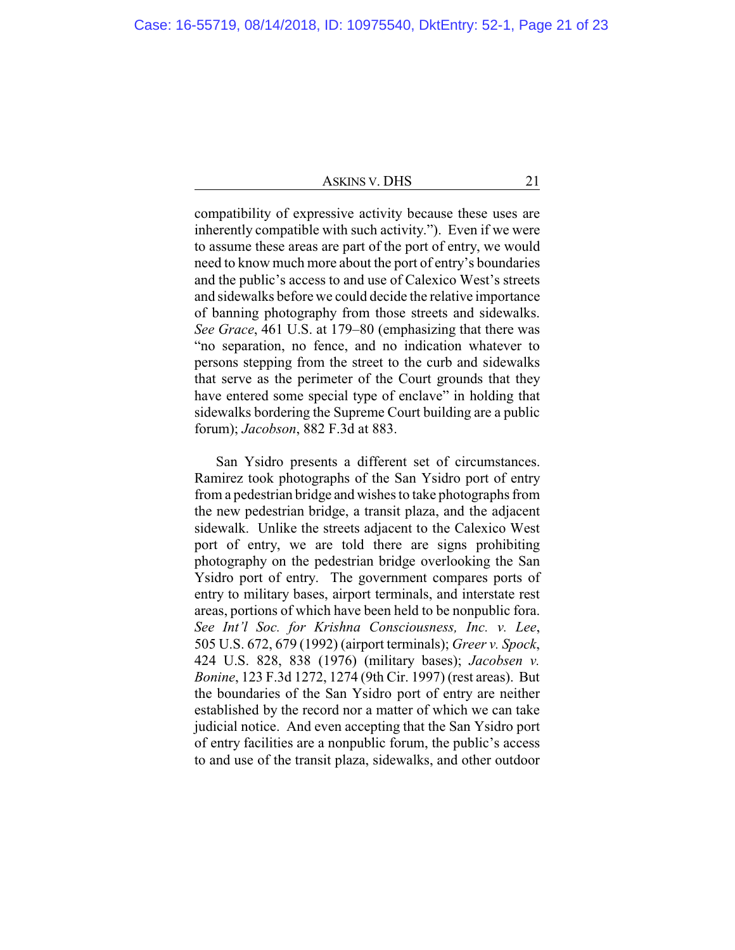compatibility of expressive activity because these uses are inherently compatible with such activity."). Even if we were to assume these areas are part of the port of entry, we would need to know much more about the port of entry's boundaries and the public's access to and use of Calexico West's streets and sidewalks before we could decide the relative importance of banning photography from those streets and sidewalks. *See Grace*, 461 U.S. at 179–80 (emphasizing that there was "no separation, no fence, and no indication whatever to persons stepping from the street to the curb and sidewalks that serve as the perimeter of the Court grounds that they have entered some special type of enclave" in holding that sidewalks bordering the Supreme Court building are a public forum); *Jacobson*, 882 F.3d at 883.

San Ysidro presents a different set of circumstances. Ramirez took photographs of the San Ysidro port of entry from a pedestrian bridge and wishes to take photographs from the new pedestrian bridge, a transit plaza, and the adjacent sidewalk. Unlike the streets adjacent to the Calexico West port of entry, we are told there are signs prohibiting photography on the pedestrian bridge overlooking the San Ysidro port of entry. The government compares ports of entry to military bases, airport terminals, and interstate rest areas, portions of which have been held to be nonpublic fora. *See Int'l Soc. for Krishna Consciousness, Inc. v. Lee*, 505 U.S. 672, 679 (1992) (airport terminals); *Greer v. Spock*, 424 U.S. 828, 838 (1976) (military bases); *Jacobsen v. Bonine*, 123 F.3d 1272, 1274 (9th Cir. 1997) (rest areas). But the boundaries of the San Ysidro port of entry are neither established by the record nor a matter of which we can take judicial notice. And even accepting that the San Ysidro port of entry facilities are a nonpublic forum, the public's access to and use of the transit plaza, sidewalks, and other outdoor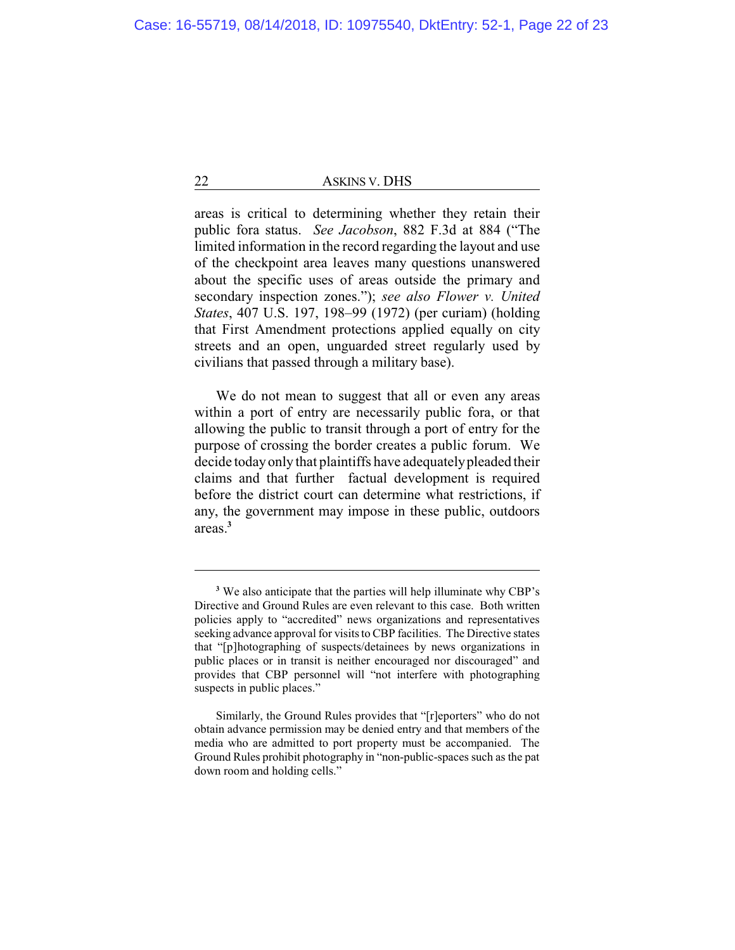areas is critical to determining whether they retain their public fora status. *See Jacobson*, 882 F.3d at 884 ("The limited information in the record regarding the layout and use of the checkpoint area leaves many questions unanswered about the specific uses of areas outside the primary and secondary inspection zones."); *see also Flower v. United States*, 407 U.S. 197, 198–99 (1972) (per curiam) (holding that First Amendment protections applied equally on city streets and an open, unguarded street regularly used by civilians that passed through a military base).

We do not mean to suggest that all or even any areas within a port of entry are necessarily public fora, or that allowing the public to transit through a port of entry for the purpose of crossing the border creates a public forum. We decide todayonly that plaintiffs have adequatelypleaded their claims and that further factual development is required before the district court can determine what restrictions, if any, the government may impose in these public, outdoors areas.**<sup>3</sup>**

**<sup>3</sup>** We also anticipate that the parties will help illuminate why CBP's Directive and Ground Rules are even relevant to this case. Both written policies apply to "accredited" news organizations and representatives seeking advance approval for visits to CBP facilities. The Directive states that "[p]hotographing of suspects/detainees by news organizations in public places or in transit is neither encouraged nor discouraged" and provides that CBP personnel will "not interfere with photographing suspects in public places."

Similarly, the Ground Rules provides that "[r]eporters" who do not obtain advance permission may be denied entry and that members of the media who are admitted to port property must be accompanied. The Ground Rules prohibit photography in "non-public-spaces such as the pat down room and holding cells."